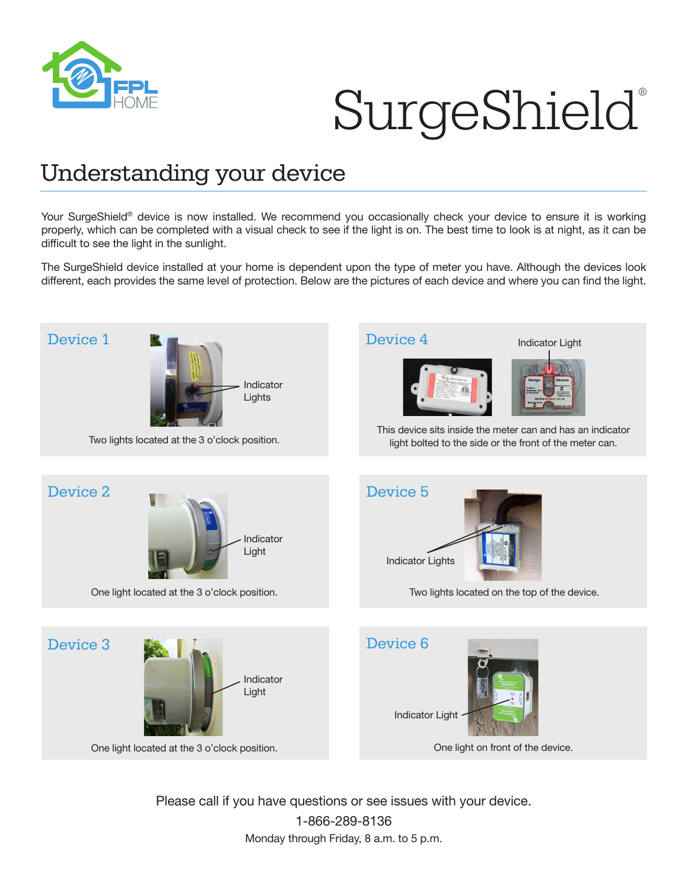

## SurgeShield®

## Understanding your device

Your SurgeShield® device is now installed. We recommend you occasionally check your device to ensure it is working properly, which can be completed with a visual check to see if the light is on. The best time to look is at night, as it can be difficult to see the light in the sunlight.

The SurgeShield device installed at your home is dependent upon the type of meter you have. Although the devices look different, each provides the same level of protection. Below are the pictures of each device and where you can find the light.



Please call if you have questions or see issues with your device. 1-866-289-8136 Monday through Friday, 8 a.m. to 5 p.m.